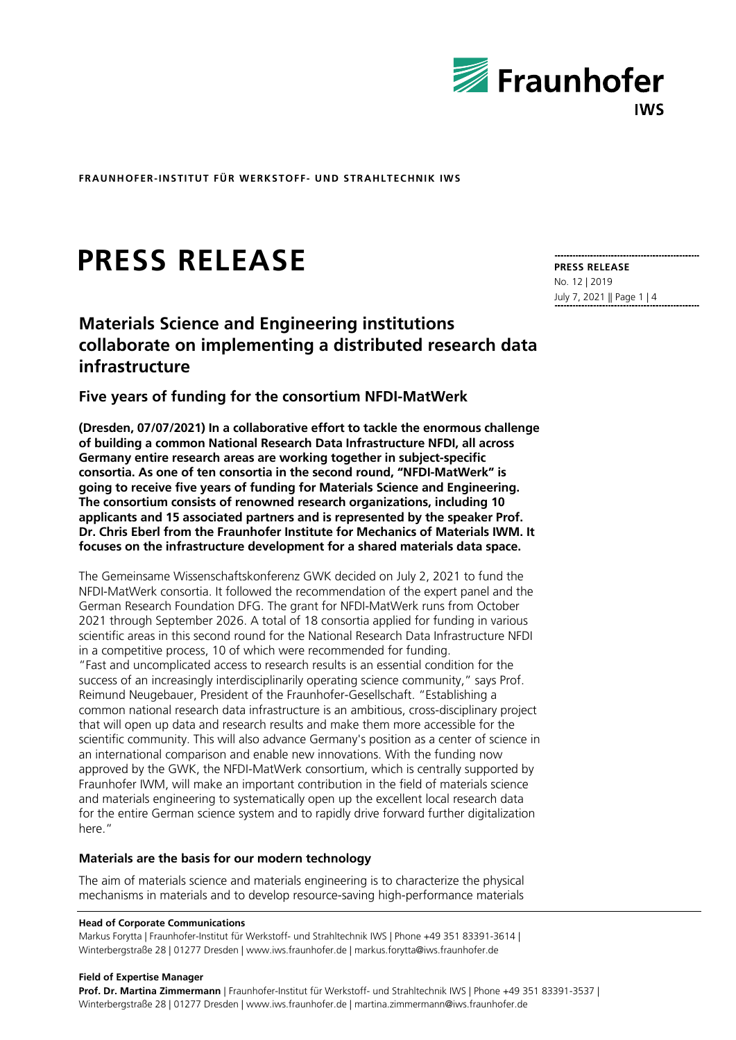

# **PRESS RELEASE**

# **Materials Science and Engineering institutions collaborate on implementing a distributed research data infrastructure**

## **Five years of funding for the consortium NFDI-MatWerk**

**(Dresden, 07/07/2021) In a collaborative effort to tackle the enormous challenge of building a common National Research Data Infrastructure NFDI, all across Germany entire research areas are working together in subject-specific consortia. As one of ten consortia in the second round, "NFDI-MatWerk" is going to receive five years of funding for Materials Science and Engineering. The consortium consists of renowned research organizations, including 10 applicants and 15 associated partners and is represented by the speaker Prof. Dr. Chris Eberl from the Fraunhofer Institute for Mechanics of Materials IWM. It focuses on the infrastructure development for a shared materials data space.**

The Gemeinsame Wissenschaftskonferenz GWK decided on July 2, 2021 to fund the NFDI-MatWerk consortia. It followed the recommendation of the expert panel and the German Research Foundation DFG. The grant for NFDI-MatWerk runs from October 2021 through September 2026. A total of 18 consortia applied for funding in various scientific areas in this second round for the National Research Data Infrastructure NFDI in a competitive process, 10 of which were recommended for funding. "Fast and uncomplicated access to research results is an essential condition for the success of an increasingly interdisciplinarily operating science community," says Prof. Reimund Neugebauer, President of the Fraunhofer-Gesellschaft. "Establishing a common national research data infrastructure is an ambitious, cross-disciplinary project that will open up data and research results and make them more accessible for the scientific community. This will also advance Germany's position as a center of science in an international comparison and enable new innovations. With the funding now approved by the GWK, the NFDI-MatWerk consortium, which is centrally supported by Fraunhofer IWM, will make an important contribution in the field of materials science and materials engineering to systematically open up the excellent local research data for the entire German science system and to rapidly drive forward further digitalization here."

#### **Materials are the basis for our modern technology**

The aim of materials science and materials engineering is to characterize the physical mechanisms in materials and to develop resource-saving high-performance materials

#### **Head of Corporate Communications**

Markus Forytta | Fraunhofer-Institut für Werkstoff- und Strahltechnik IWS | Phone +49 351 83391-3614 | Winterbergstraße 28 | 01277 Dresden | www.iws.fraunhofer.de | markus.forytta@iws.fraunhofer.de

#### **Field of Expertise Manager**

**Prof. Dr. Martina Zimmermann** | Fraunhofer-Institut für Werkstoff- und Strahltechnik IWS | Phone +49 351 83391-3537 | Winterbergstraße 28 | 01277 Dresden | www.iws.fraunhofer.de | martina.zimmermann@iws.fraunhofer.de

**PRESS RELEASE** No. 12 | 2019 July 7, 2021 || Page 1 | 4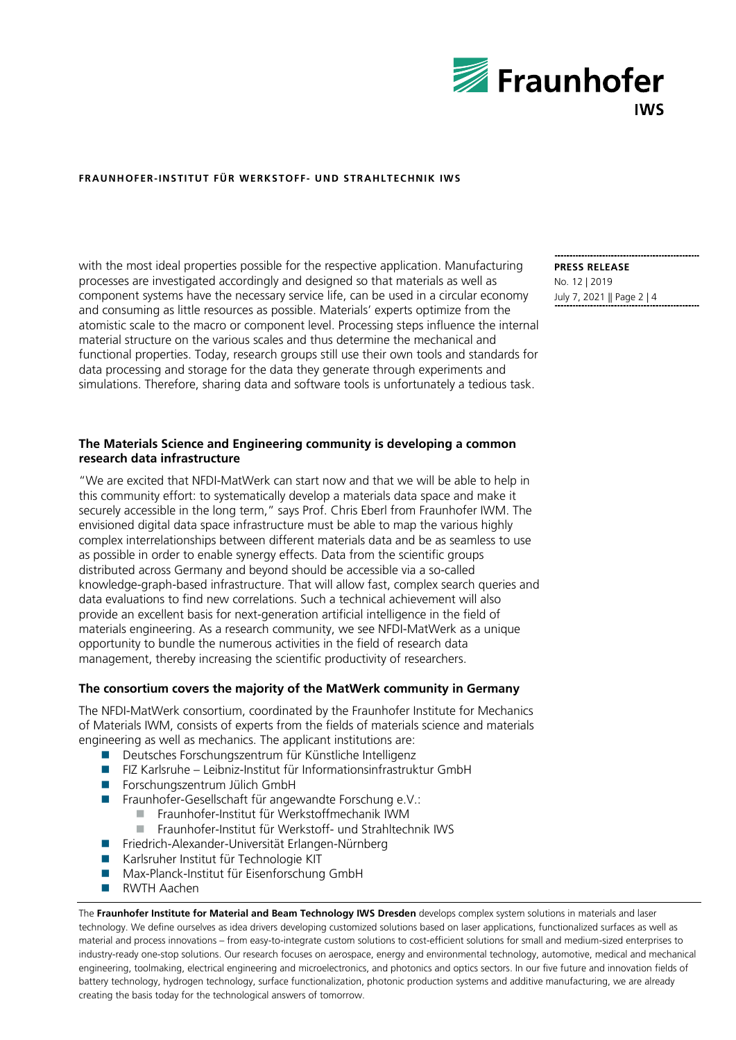

with the most ideal properties possible for the respective application. Manufacturing processes are investigated accordingly and designed so that materials as well as component systems have the necessary service life, can be used in a circular economy and consuming as little resources as possible. Materials' experts optimize from the atomistic scale to the macro or component level. Processing steps influence the internal material structure on the various scales and thus determine the mechanical and functional properties. Today, research groups still use their own tools and standards for data processing and storage for the data they generate through experiments and simulations. Therefore, sharing data and software tools is unfortunately a tedious task.

### **The Materials Science and Engineering community is developing a common research data infrastructure**

"We are excited that NFDI-MatWerk can start now and that we will be able to help in this community effort: to systematically develop a materials data space and make it securely accessible in the long term," says Prof. Chris Eberl from Fraunhofer IWM. The envisioned digital data space infrastructure must be able to map the various highly complex interrelationships between different materials data and be as seamless to use as possible in order to enable synergy effects. Data from the scientific groups distributed across Germany and beyond should be accessible via a so-called knowledge-graph-based infrastructure. That will allow fast, complex search queries and data evaluations to find new correlations. Such a technical achievement will also provide an excellent basis for next-generation artificial intelligence in the field of materials engineering. As a research community, we see NFDI-MatWerk as a unique opportunity to bundle the numerous activities in the field of research data management, thereby increasing the scientific productivity of researchers.

#### **The consortium covers the majority of the MatWerk community in Germany**

The NFDI-MatWerk consortium, coordinated by the Fraunhofer Institute for Mechanics of Materials IWM, consists of experts from the fields of materials science and materials engineering as well as mechanics. The applicant institutions are:

- Deutsches Forschungszentrum für Künstliche Intelligenz
- FIZ Karlsruhe Leibniz-Institut für Informationsinfrastruktur GmbH
- Forschungszentrum Jülich GmbH
- Fraunhofer-Gesellschaft für angewandte Forschung e.V.:
	- Fraunhofer-Institut für Werkstoffmechanik IWM
		- Fraunhofer-Institut für Werkstoff- und Strahltechnik IWS
- Friedrich-Alexander-Universität Erlangen-Nürnberg
- Karlsruher Institut für Technologie KIT
- Max-Planck-Institut für Eisenforschung GmbH
- **RWTH Aachen**

The **Fraunhofer Institute for Material and Beam Technology IWS Dresden** develops complex system solutions in materials and laser technology. We define ourselves as idea drivers developing customized solutions based on laser applications, functionalized surfaces as well as material and process innovations – from easy-to-integrate custom solutions to cost-efficient solutions for small and medium-sized enterprises to industry-ready one-stop solutions. Our research focuses on aerospace, energy and environmental technology, automotive, medical and mechanical engineering, toolmaking, electrical engineering and microelectronics, and photonics and optics sectors. In our five future and innovation fields of battery technology, hydrogen technology, surface functionalization, photonic production systems and additive manufacturing, we are already creating the basis today for the technological answers of tomorrow.

**PRESS RELEASE** No. 12 | 2019 July 7, 2021 || Page 2 | 4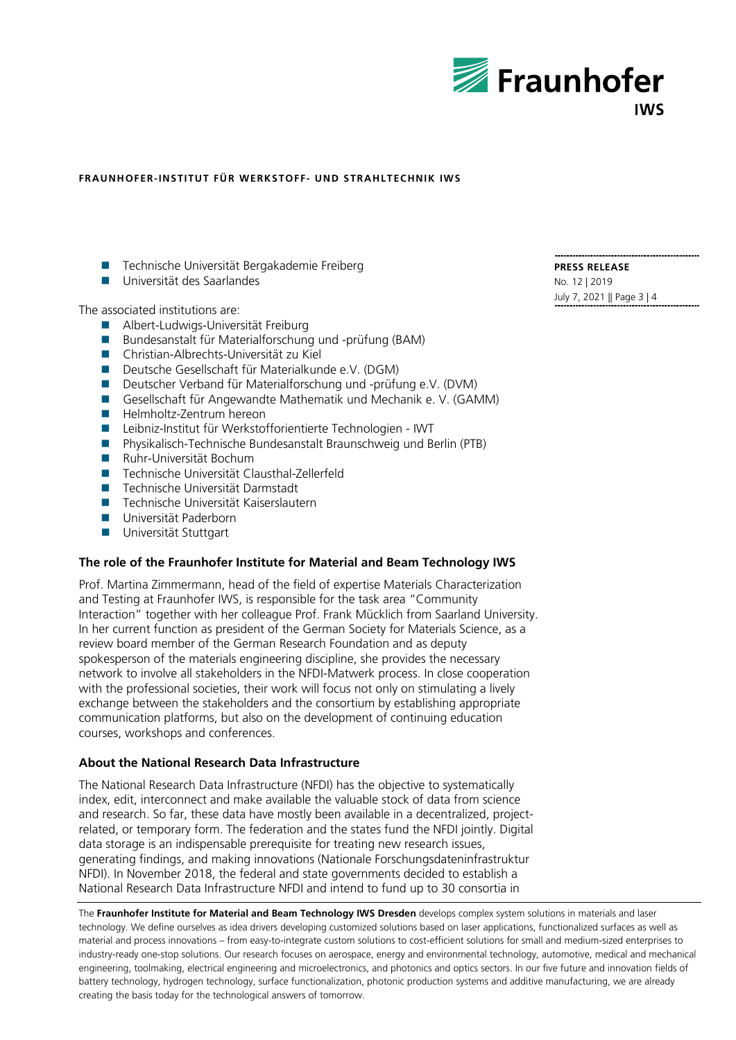

- Technische Universität Bergakademie Freiberg
- **Universität des Saarlandes**

The associated institutions are:

- **Albert-Ludwigs-Universität Freiburg**
- Bundesanstalt für Materialforschung und -prüfung (BAM)
- Christian-Albrechts-Universität zu Kiel
- Deutsche Gesellschaft für Materialkunde e.V. (DGM)
- Deutscher Verband für Materialforschung und -prüfung e.V. (DVM)
- Gesellschaft für Angewandte Mathematik und Mechanik e. V. (GAMM)
- **Helmholtz-Zentrum hereon**
- Leibniz-Institut für Werkstofforientierte Technologien IWT
- Physikalisch-Technische Bundesanstalt Braunschweig und Berlin (PTB)
- **Ruhr-Universität Bochum**
- Technische Universität Clausthal-Zellerfeld
- Technische Universität Darmstadt
- Technische Universität Kaiserslautern
- **Universität Paderborn**
- **Universität Stuttgart**

### **The role of the Fraunhofer Institute for Material and Beam Technology IWS**

Prof. Martina Zimmermann, head of the field of expertise Materials Characterization and Testing at Fraunhofer IWS, is responsible for the task area "Community Interaction" together with her colleague Prof. Frank Mücklich from Saarland University. In her current function as president of the German Society for Materials Science, as a review board member of the German Research Foundation and as deputy spokesperson of the materials engineering discipline, she provides the necessary network to involve all stakeholders in the NFDI-Matwerk process. In close cooperation with the professional societies, their work will focus not only on stimulating a lively exchange between the stakeholders and the consortium by establishing appropriate communication platforms, but also on the development of continuing education courses, workshops and conferences.

#### **About the National Research Data Infrastructure**

The National Research Data Infrastructure (NFDI) has the objective to systematically index, edit, interconnect and make available the valuable stock of data from science and research. So far, these data have mostly been available in a decentralized, projectrelated, or temporary form. The federation and the states fund the NFDI jointly. Digital data storage is an indispensable prerequisite for treating new research issues, generating findings, and making innovations (Nationale Forschungsdateninfrastruktur NFDI). In November 2018, the federal and state governments decided to establish a National Research Data Infrastructure NFDI and intend to fund up to 30 consortia in

The **Fraunhofer Institute for Material and Beam Technology IWS Dresden** develops complex system solutions in materials and laser technology. We define ourselves as idea drivers developing customized solutions based on laser applications, functionalized surfaces as well as material and process innovations – from easy-to-integrate custom solutions to cost-efficient solutions for small and medium-sized enterprises to industry-ready one-stop solutions. Our research focuses on aerospace, energy and environmental technology, automotive, medical and mechanical engineering, toolmaking, electrical engineering and microelectronics, and photonics and optics sectors. In our five future and innovation fields of battery technology, hydrogen technology, surface functionalization, photonic production systems and additive manufacturing, we are already creating the basis today for the technological answers of tomorrow.

**PRESS RELEASE** No. 12 | 2019 July 7, 2021 || Page 3 | 4